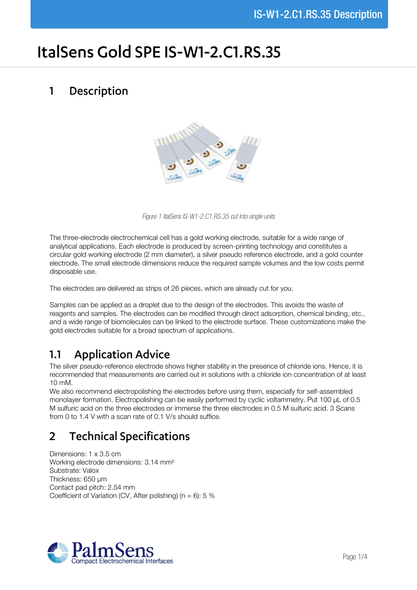# ItalSens Gold SPE IS-W1-2.C1.RS.35

#### Description  $\mathbf{1}$



*Figure 1 ItalSens IS-W1-2.C1.RS.35 cut into single units*

The three-electrode electrochemical cell has a gold working electrode, suitable for a wide range of analytical applications. Each electrode is produced by screen-printing technology and constitutes a circular gold working electrode (2 mm diameter), a silver pseudo reference electrode, and a gold counter electrode. The small electrode dimensions reduce the required sample volumes and the low costs permit disposable use.

The electrodes are delivered as strips of 26 pieces, which are already cut for you.

Samples can be applied as a droplet due to the design of the electrodes. This avoids the waste of reagents and samples. The electrodes can be modified through direct adsorption, chemical binding, etc., and a wide range of biomolecules can be linked to the electrode surface. These customizations make the gold electrodes suitable for a broad spectrum of applications.

# **Application Advice**  $1.1$

The silver pseudo-reference electrode shows higher stability in the presence of chloride ions. Hence, it is recommended that measurements are carried out in solutions with a chloride ion concentration of at least 10 mM.

We also recommend electropolishing the electrodes before using them, especially for self-assembled monolayer formation. Electropolishing can be easily performed by cyclic voltammetry. Put 100 µL of 0.5 M sulfuric acid on the three electrodes or immerse the three electrodes in 0.5 M sulfuric acid. 3 Scans from 0 to 1.4 V with a scan rate of 0.1 V/s should suffice.

# **Technical Specifications**  $\overline{2}$

Dimensions: 1 x 3.5 cm Working electrode dimensions: 3.14 mm² Substrate: Valox Thickness: 650 µm Contact pad pitch: 2.54 mm Coefficient of Variation (CV, After polishing) ( $n = 6$ ): 5 %

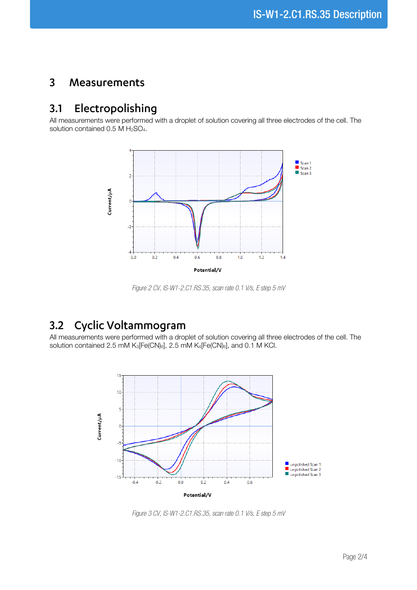#### $\overline{3}$ Measurements

### Electropolishing  $3.1$

All measurements were performed with a droplet of solution covering all three electrodes of the cell. The solution contained  $0.5$  M  $H<sub>2</sub>SO<sub>4</sub>$ .



*Figure 2 CV, IS-W1-2.C1.RS.35, scan rate 0.1 V/s, E step 5 mV*

# Cyclic Voltammogram  $3.2$

All measurements were performed with a droplet of solution covering all three electrodes of the cell. The solution contained 2.5 mM K<sub>3</sub>[Fe(CN)<sub>6</sub>], 2.5 mM K<sub>4</sub>[Fe(CN)<sub>6</sub>], and 0.1 M KCl.



*Figure 3 CV, IS-W1-2.C1.RS.35, scan rate 0.1 V/s, E step 5 mV*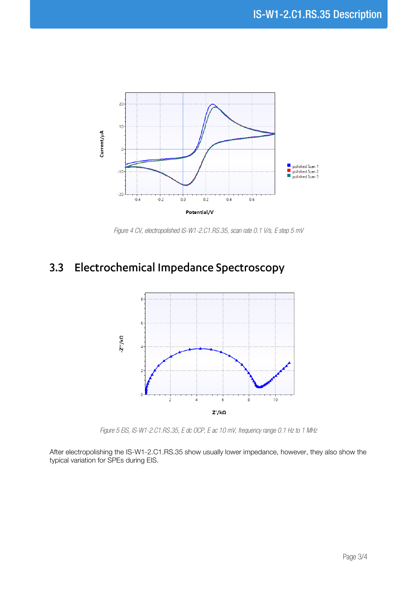

*Figure 4 CV, electropolished IS-W1-2.C1.RS.35, scan rate 0.1 V/s, E step 5 mV*

# 3.3 Electrochemical Impedance Spectroscopy



*Figure 5 EIS, IS-W1-2.C1.RS.35, E dc OCP, E ac 10 mV, frequency range 0.1 Hz to 1 MHz*

After electropolishing the IS-W1-2.C1.RS.35 show usually lower impedance, however, they also show the typical variation for SPEs during EIS.